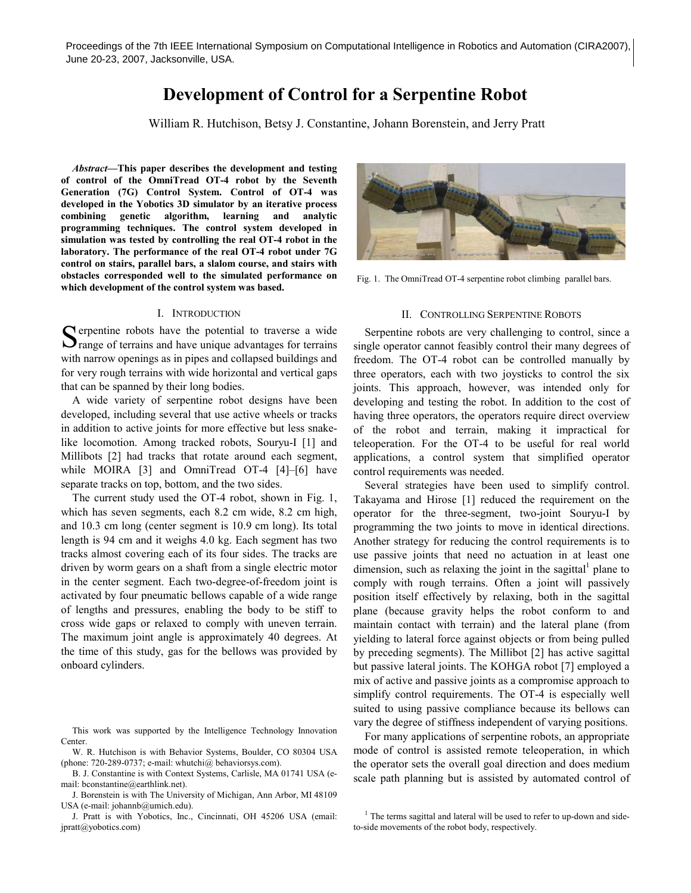# **Development of Control for a Serpentine Robot**

William R. Hutchison, Betsy J. Constantine, Johann Borenstein, and Jerry Pratt

*Abstract***—This paper describes the development and testing of control of the OmniTread OT-4 robot by the Seventh Generation (7G) Control System. Control of OT-4 was developed in the Yobotics 3D simulator by an iterative process combining genetic algorithm, learning and analytic programming techniques. The control system developed in simulation was tested by controlling the real OT-4 robot in the laboratory. The performance of the real OT-4 robot under 7G control on stairs, parallel bars, a slalom course, and stairs with obstacles corresponded well to the simulated performance on which development of the control system was based.** 

#### I. INTRODUCTION

Superine robots have the potential to traverse a wide range of terrains and have unique advantages for terrains  $\Box$  range of terrains and have unique advantages for terrains with narrow openings as in pipes and collapsed buildings and for very rough terrains with wide horizontal and vertical gaps that can be spanned by their long bodies.

A wide variety of serpentine robot designs have been developed, including several that use active wheels or tracks in addition to active joints for more effective but less snakelike locomotion. Among tracked robots, Souryu-I [1] and Millibots [2] had tracks that rotate around each segment, while MOIRA [3] and OmniTread OT-4 [4]-[6] have separate tracks on top, bottom, and the two sides.

The current study used the OT-4 robot, shown in Fig. 1, which has seven segments, each 8.2 cm wide, 8.2 cm high, and 10.3 cm long (center segment is 10.9 cm long). Its total length is 94 cm and it weighs 4.0 kg. Each segment has two tracks almost covering each of its four sides. The tracks are driven by worm gears on a shaft from a single electric motor in the center segment. Each two-degree-of-freedom joint is activated by four pneumatic bellows capable of a wide range of lengths and pressures, enabling the body to be stiff to cross wide gaps or relaxed to comply with uneven terrain. The maximum joint angle is approximately 40 degrees. At the time of this study, gas for the bellows was provided by onboard cylinders.

This work was supported by the Intelligence Technology Innovation Center.

W. R. Hutchison is with Behavior Systems, Boulder, CO 80304 USA (phone: 720-289-0737; e-mail: whutchi@ behaviorsys.com).

B. J. Constantine is with Context Systems, Carlisle, MA 01741 USA (email: bconstantine@earthlink.net).

J. Pratt is with Yobotics, Inc., Cincinnati, OH 45206 USA (email: jpratt@yobotics.com)



Fig. 1. The OmniTread OT-4 serpentine robot climbing parallel bars.

#### II. CONTROLLING SERPENTINE ROBOTS

Serpentine robots are very challenging to control, since a single operator cannot feasibly control their many degrees of freedom. The OT-4 robot can be controlled manually by three operators, each with two joysticks to control the six joints. This approach, however, was intended only for developing and testing the robot. In addition to the cost of having three operators, the operators require direct overview of the robot and terrain, making it impractical for teleoperation. For the OT-4 to be useful for real world applications, a control system that simplified operator control requirements was needed.

Several strategies have been used to simplify control. Takayama and Hirose [1] reduced the requirement on the operator for the three-segment, two-joint Souryu-I by programming the two joints to move in identical directions. Another strategy for reducing the control requirements is to use passive joints that need no actuation in at least one dimension, such as relaxing the joint in the sagittal<sup>1</sup> plane to comply with rough terrains. Often a joint will passively position itself effectively by relaxing, both in the sagittal plane (because gravity helps the robot conform to and maintain contact with terrain) and the lateral plane (from yielding to lateral force against objects or from being pulled by preceding segments). The Millibot [2] has active sagittal but passive lateral joints. The KOHGA robot [7] employed a mix of active and passive joints as a compromise approach to simplify control requirements. The OT-4 is especially well suited to using passive compliance because its bellows can vary the degree of stiffness independent of varying positions.

For many applications of serpentine robots, an appropriate mode of control is assisted remote teleoperation, in which the operator sets the overall goal direction and does medium scale path planning but is assisted by automated control of

J. Borenstein is with The University of Michigan, Ann Arbor, MI 48109 USA (e-mail: johannb@umich.edu).

<sup>&</sup>lt;sup>1</sup> The terms sagittal and lateral will be used to refer to up-down and sideto-side movements of the robot body, respectively.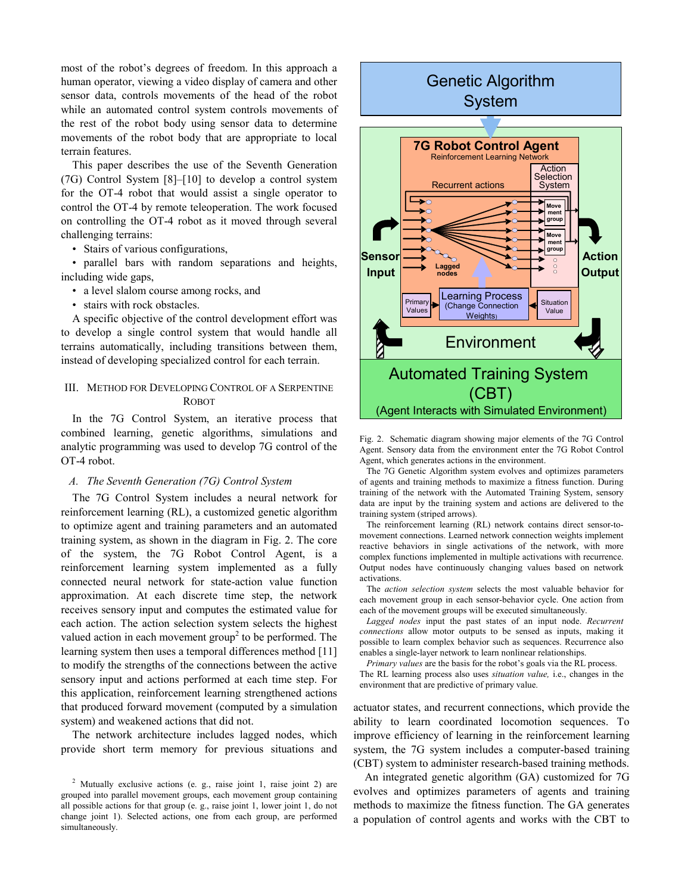most of the robot's degrees of freedom. In this approach a human operator, viewing a video display of camera and other sensor data, controls movements of the head of the robot while an automated control system controls movements of the rest of the robot body using sensor data to determine movements of the robot body that are appropriate to local terrain features.

This paper describes the use of the Seventh Generation (7G) Control System [8]–[10] to develop a control system for the OT-4 robot that would assist a single operator to control the OT-4 by remote teleoperation. The work focused on controlling the OT-4 robot as it moved through several challenging terrains:

• Stairs of various configurations,

• parallel bars with random separations and heights, including wide gaps,

- a level slalom course among rocks, and
- stairs with rock obstacles.

A specific objective of the control development effort was to develop a single control system that would handle all terrains automatically, including transitions between them, instead of developing specialized control for each terrain.

## III. METHOD FOR DEVELOPING CONTROL OF A SERPENTINE ROBOT

In the 7G Control System, an iterative process that combined learning, genetic algorithms, simulations and analytic programming was used to develop 7G control of the OT-4 robot.

#### *A. The Seventh Generation (7G) Control System*

The 7G Control System includes a neural network for reinforcement learning (RL), a customized genetic algorithm to optimize agent and training parameters and an automated training system, as shown in the diagram in Fig. 2. The core of the system, the 7G Robot Control Agent, is a reinforcement learning system implemented as a fully connected neural network for state-action value function approximation. At each discrete time step, the network receives sensory input and computes the estimated value for each action. The action selection system selects the highest valued action in each movement group<sup>2</sup> to be performed. The learning system then uses a temporal differences method [11] to modify the strengths of the connections between the active sensory input and actions performed at each time step. For this application, reinforcement learning strengthened actions that produced forward movement (computed by a simulation system) and weakened actions that did not.

The network architecture includes lagged nodes, which provide short term memory for previous situations and



Fig. 2. Schematic diagram showing major elements of the 7G Control Agent. Sensory data from the environment enter the 7G Robot Control Agent, which generates actions in the environment.

 The 7G Genetic Algorithm system evolves and optimizes parameters of agents and training methods to maximize a fitness function. During training of the network with the Automated Training System, sensory data are input by the training system and actions are delivered to the training system (striped arrows).

 The reinforcement learning (RL) network contains direct sensor-tomovement connections. Learned network connection weights implement reactive behaviors in single activations of the network, with more complex functions implemented in multiple activations with recurrence. Output nodes have continuously changing values based on network activations.

 The *action selection system* selects the most valuable behavior for each movement group in each sensor-behavior cycle. One action from each of the movement groups will be executed simultaneously.

 *Lagged nodes* input the past states of an input node. *Recurrent connections* allow motor outputs to be sensed as inputs, making it possible to learn complex behavior such as sequences. Recurrence also enables a single-layer network to learn nonlinear relationships.

 *Primary values* are the basis for the robot's goals via the RL process. The RL learning process also uses *situation value,* i.e., changes in the environment that are predictive of primary value.

actuator states, and recurrent connections, which provide the ability to learn coordinated locomotion sequences. To improve efficiency of learning in the reinforcement learning system, the 7G system includes a computer-based training (CBT) system to administer research-based training methods.

An integrated genetic algorithm (GA) customized for 7G evolves and optimizes parameters of agents and training methods to maximize the fitness function. The GA generates a population of control agents and works with the CBT to

<sup>&</sup>lt;sup>2</sup> Mutually exclusive actions (e. g., raise joint 1, raise joint 2) are grouped into parallel movement groups, each movement group containing all possible actions for that group (e. g., raise joint 1, lower joint 1, do not change joint 1). Selected actions, one from each group, are performed simultaneously.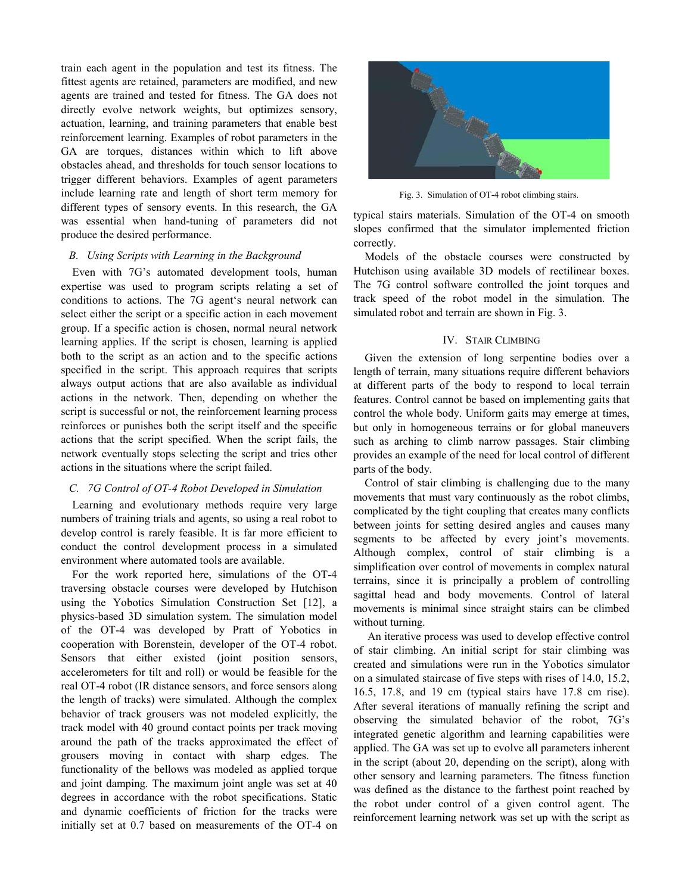train each agent in the population and test its fitness. The fittest agents are retained, parameters are modified, and new agents are trained and tested for fitness. The GA does not directly evolve network weights, but optimizes sensory, actuation, learning, and training parameters that enable best reinforcement learning. Examples of robot parameters in the GA are torques, distances within which to lift above obstacles ahead, and thresholds for touch sensor locations to trigger different behaviors. Examples of agent parameters include learning rate and length of short term memory for different types of sensory events. In this research, the GA was essential when hand-tuning of parameters did not produce the desired performance.

#### *B. Using Scripts with Learning in the Background*

Even with 7G's automated development tools, human expertise was used to program scripts relating a set of conditions to actions. The 7G agent's neural network can select either the script or a specific action in each movement group. If a specific action is chosen, normal neural network learning applies. If the script is chosen, learning is applied both to the script as an action and to the specific actions specified in the script. This approach requires that scripts always output actions that are also available as individual actions in the network. Then, depending on whether the script is successful or not, the reinforcement learning process reinforces or punishes both the script itself and the specific actions that the script specified. When the script fails, the network eventually stops selecting the script and tries other actions in the situations where the script failed.

#### *C. 7G Control of OT-4 Robot Developed in Simulation*

Learning and evolutionary methods require very large numbers of training trials and agents, so using a real robot to develop control is rarely feasible. It is far more efficient to conduct the control development process in a simulated environment where automated tools are available.

For the work reported here, simulations of the OT-4 traversing obstacle courses were developed by Hutchison using the Yobotics Simulation Construction Set [12], a physics-based 3D simulation system. The simulation model of the OT-4 was developed by Pratt of Yobotics in cooperation with Borenstein, developer of the OT-4 robot. Sensors that either existed (joint position sensors, accelerometers for tilt and roll) or would be feasible for the real OT-4 robot (IR distance sensors, and force sensors along the length of tracks) were simulated. Although the complex behavior of track grousers was not modeled explicitly, the track model with 40 ground contact points per track moving around the path of the tracks approximated the effect of grousers moving in contact with sharp edges. The functionality of the bellows was modeled as applied torque and joint damping. The maximum joint angle was set at 40 degrees in accordance with the robot specifications. Static and dynamic coefficients of friction for the tracks were initially set at 0.7 based on measurements of the OT-4 on



Fig. 3. Simulation of OT-4 robot climbing stairs.

typical stairs materials. Simulation of the OT-4 on smooth slopes confirmed that the simulator implemented friction correctly.

Models of the obstacle courses were constructed by Hutchison using available 3D models of rectilinear boxes. The 7G control software controlled the joint torques and track speed of the robot model in the simulation. The simulated robot and terrain are shown in Fig. 3.

#### IV. STAIR CLIMBING

Given the extension of long serpentine bodies over a length of terrain, many situations require different behaviors at different parts of the body to respond to local terrain features. Control cannot be based on implementing gaits that control the whole body. Uniform gaits may emerge at times, but only in homogeneous terrains or for global maneuvers such as arching to climb narrow passages. Stair climbing provides an example of the need for local control of different parts of the body.

Control of stair climbing is challenging due to the many movements that must vary continuously as the robot climbs, complicated by the tight coupling that creates many conflicts between joints for setting desired angles and causes many segments to be affected by every joint's movements. Although complex, control of stair climbing is a simplification over control of movements in complex natural terrains, since it is principally a problem of controlling sagittal head and body movements. Control of lateral movements is minimal since straight stairs can be climbed without turning.

 An iterative process was used to develop effective control of stair climbing. An initial script for stair climbing was created and simulations were run in the Yobotics simulator on a simulated staircase of five steps with rises of 14.0, 15.2, 16.5, 17.8, and 19 cm (typical stairs have 17.8 cm rise). After several iterations of manually refining the script and observing the simulated behavior of the robot, 7G's integrated genetic algorithm and learning capabilities were applied. The GA was set up to evolve all parameters inherent in the script (about 20, depending on the script), along with other sensory and learning parameters. The fitness function was defined as the distance to the farthest point reached by the robot under control of a given control agent. The reinforcement learning network was set up with the script as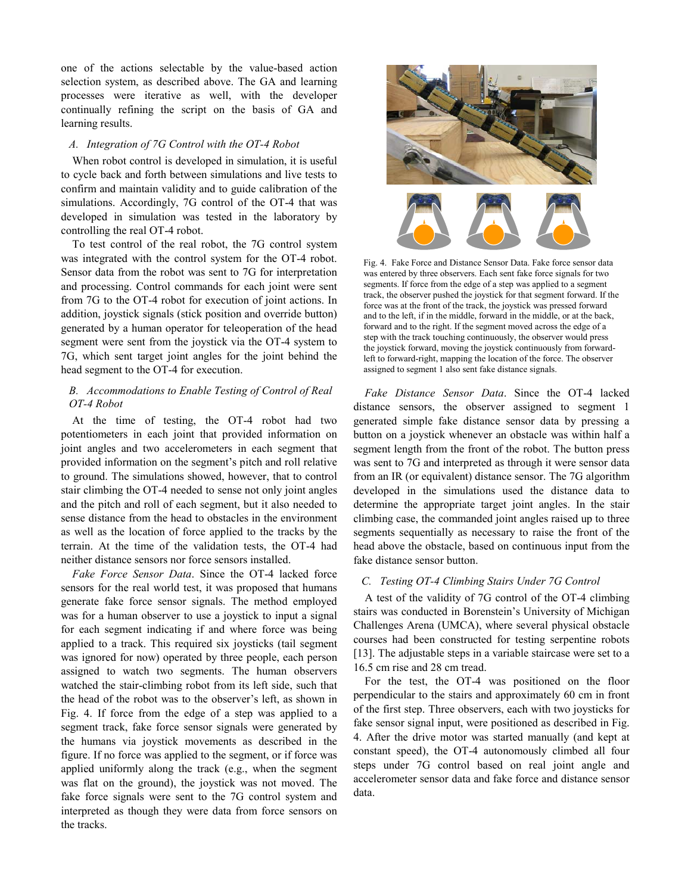one of the actions selectable by the value-based action selection system, as described above. The GA and learning processes were iterative as well, with the developer continually refining the script on the basis of GA and learning results.

#### *A. Integration of 7G Control with the OT-4 Robot*

When robot control is developed in simulation, it is useful to cycle back and forth between simulations and live tests to confirm and maintain validity and to guide calibration of the simulations. Accordingly, 7G control of the OT-4 that was developed in simulation was tested in the laboratory by controlling the real OT-4 robot.

To test control of the real robot, the 7G control system was integrated with the control system for the OT-4 robot. Sensor data from the robot was sent to 7G for interpretation and processing. Control commands for each joint were sent from 7G to the OT-4 robot for execution of joint actions. In addition, joystick signals (stick position and override button) generated by a human operator for teleoperation of the head segment were sent from the joystick via the OT-4 system to 7G, which sent target joint angles for the joint behind the head segment to the OT-4 for execution.

# *B. Accommodations to Enable Testing of Control of Real OT-4 Robot*

At the time of testing, the OT-4 robot had two potentiometers in each joint that provided information on joint angles and two accelerometers in each segment that provided information on the segment's pitch and roll relative to ground. The simulations showed, however, that to control stair climbing the OT-4 needed to sense not only joint angles and the pitch and roll of each segment, but it also needed to sense distance from the head to obstacles in the environment as well as the location of force applied to the tracks by the terrain. At the time of the validation tests, the OT-4 had neither distance sensors nor force sensors installed.

*Fake Force Sensor Data*. Since the OT-4 lacked force sensors for the real world test, it was proposed that humans generate fake force sensor signals. The method employed was for a human observer to use a joystick to input a signal for each segment indicating if and where force was being applied to a track. This required six joysticks (tail segment was ignored for now) operated by three people, each person assigned to watch two segments. The human observers watched the stair-climbing robot from its left side, such that the head of the robot was to the observer's left, as shown in Fig. 4. If force from the edge of a step was applied to a segment track, fake force sensor signals were generated by the humans via joystick movements as described in the figure. If no force was applied to the segment, or if force was applied uniformly along the track (e.g., when the segment was flat on the ground), the joystick was not moved. The fake force signals were sent to the 7G control system and interpreted as though they were data from force sensors on the tracks.



Fig. 4. Fake Force and Distance Sensor Data. Fake force sensor data was entered by three observers. Each sent fake force signals for two segments. If force from the edge of a step was applied to a segment track, the observer pushed the joystick for that segment forward. If the force was at the front of the track, the joystick was pressed forward and to the left, if in the middle, forward in the middle, or at the back, forward and to the right. If the segment moved across the edge of a step with the track touching continuously, the observer would press the joystick forward, moving the joystick continuously from forwardleft to forward-right, mapping the location of the force. The observer assigned to segment 1 also sent fake distance signals.

*Fake Distance Sensor Data*. Since the OT-4 lacked distance sensors, the observer assigned to segment 1 generated simple fake distance sensor data by pressing a button on a joystick whenever an obstacle was within half a segment length from the front of the robot. The button press was sent to 7G and interpreted as through it were sensor data from an IR (or equivalent) distance sensor. The 7G algorithm developed in the simulations used the distance data to determine the appropriate target joint angles. In the stair climbing case, the commanded joint angles raised up to three segments sequentially as necessary to raise the front of the head above the obstacle, based on continuous input from the fake distance sensor button.

### *C. Testing OT-4 Climbing Stairs Under 7G Control*

A test of the validity of 7G control of the OT-4 climbing stairs was conducted in Borenstein's University of Michigan Challenges Arena (UMCA), where several physical obstacle courses had been constructed for testing serpentine robots [13]. The adjustable steps in a variable staircase were set to a 16.5 cm rise and 28 cm tread.

For the test, the OT-4 was positioned on the floor perpendicular to the stairs and approximately 60 cm in front of the first step. Three observers, each with two joysticks for fake sensor signal input, were positioned as described in Fig. 4. After the drive motor was started manually (and kept at constant speed), the OT-4 autonomously climbed all four steps under 7G control based on real joint angle and accelerometer sensor data and fake force and distance sensor data.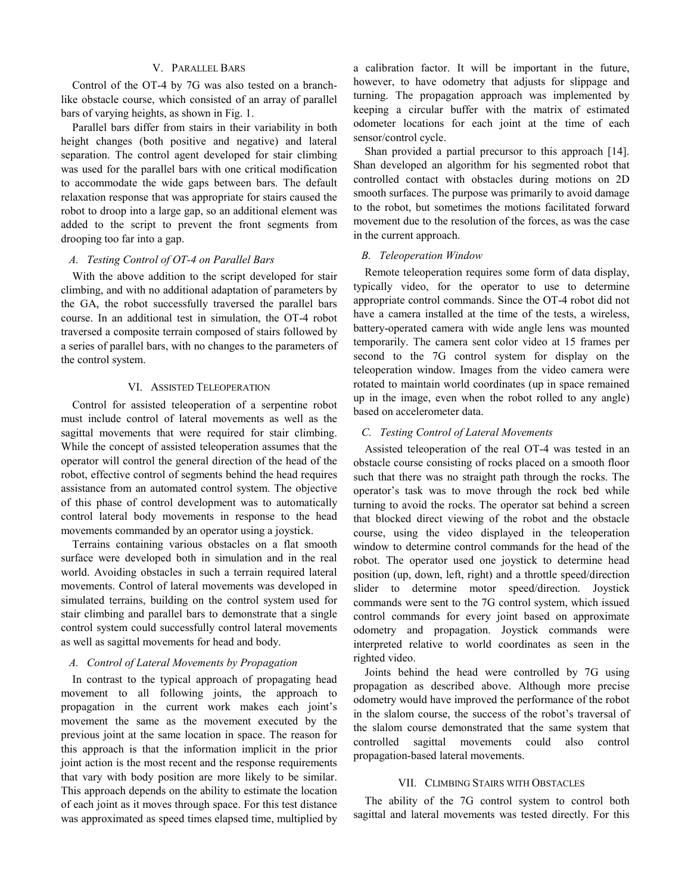#### V. PARALLEL BARS

Control of the OT-4 by 7G was also tested on a branchlike obstacle course, which consisted of an array of parallel bars of varying heights, as shown in Fig. 1.

Parallel bars differ from stairs in their variability in both height changes (both positive and negative) and lateral separation. The control agent developed for stair climbing was used for the parallel bars with one critical modification to accommodate the wide gaps between bars. The default relaxation response that was appropriate for stairs caused the robot to droop into a large gap, so an additional element was added to the script to prevent the front segments from drooping too far into a gap.

### *A. Testing Control of OT-4 on Parallel Bars*

With the above addition to the script developed for stair climbing, and with no additional adaptation of parameters by the GA, the robot successfully traversed the parallel bars course. In an additional test in simulation, the OT-4 robot traversed a composite terrain composed of stairs followed by a series of parallel bars, with no changes to the parameters of the control system.

#### VI. ASSISTED TELEOPERATION

Control for assisted teleoperation of a serpentine robot must include control of lateral movements as well as the sagittal movements that were required for stair climbing. While the concept of assisted teleoperation assumes that the operator will control the general direction of the head of the robot, effective control of segments behind the head requires assistance from an automated control system. The objective of this phase of control development was to automatically control lateral body movements in response to the head movements commanded by an operator using a joystick.

Terrains containing various obstacles on a flat smooth surface were developed both in simulation and in the real world. Avoiding obstacles in such a terrain required lateral movements. Control of lateral movements was developed in simulated terrains, building on the control system used for stair climbing and parallel bars to demonstrate that a single control system could successfully control lateral movements as well as sagittal movements for head and body.

### *A. Control of Lateral Movements by Propagation*

In contrast to the typical approach of propagating head movement to all following joints, the approach to propagation in the current work makes each joint's movement the same as the movement executed by the previous joint at the same location in space. The reason for this approach is that the information implicit in the prior joint action is the most recent and the response requirements that vary with body position are more likely to be similar. This approach depends on the ability to estimate the location of each joint as it moves through space. For this test distance was approximated as speed times elapsed time, multiplied by

a calibration factor. It will be important in the future, however, to have odometry that adjusts for slippage and turning. The propagation approach was implemented by keeping a circular buffer with the matrix of estimated odometer locations for each joint at the time of each sensor/control cycle.

Shan provided a partial precursor to this approach [14]. Shan developed an algorithm for his segmented robot that controlled contact with obstacles during motions on 2D smooth surfaces. The purpose was primarily to avoid damage to the robot, but sometimes the motions facilitated forward movement due to the resolution of the forces, as was the case in the current approach.

#### *B. Teleoperation Window*

Remote teleoperation requires some form of data display, typically video, for the operator to use to determine appropriate control commands. Since the OT-4 robot did not have a camera installed at the time of the tests, a wireless, battery-operated camera with wide angle lens was mounted temporarily. The camera sent color video at 15 frames per second to the 7G control system for display on the teleoperation window. Images from the video camera were rotated to maintain world coordinates (up in space remained up in the image, even when the robot rolled to any angle) based on accelerometer data.

#### *C. Testing Control of Lateral Movements*

Assisted teleoperation of the real OT-4 was tested in an obstacle course consisting of rocks placed on a smooth floor such that there was no straight path through the rocks. The operator's task was to move through the rock bed while turning to avoid the rocks. The operator sat behind a screen that blocked direct viewing of the robot and the obstacle course, using the video displayed in the teleoperation window to determine control commands for the head of the robot. The operator used one joystick to determine head position (up, down, left, right) and a throttle speed/direction slider to determine motor speed/direction. Joystick commands were sent to the 7G control system, which issued control commands for every joint based on approximate odometry and propagation. Joystick commands were interpreted relative to world coordinates as seen in the righted video.

Joints behind the head were controlled by 7G using propagation as described above. Although more precise odometry would have improved the performance of the robot in the slalom course, the success of the robot's traversal of the slalom course demonstrated that the same system that controlled sagittal movements could also control propagation-based lateral movements.

#### VII. CLIMBING STAIRS WITH OBSTACLES

The ability of the 7G control system to control both sagittal and lateral movements was tested directly. For this